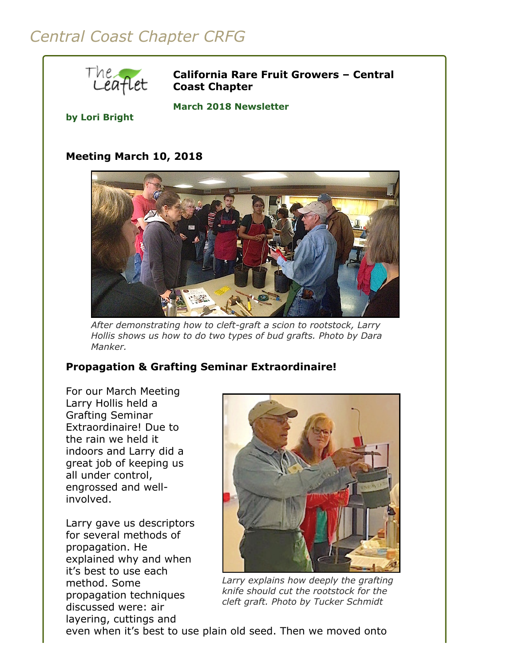# *Central Coast Chapter CRFG*



**California Rare Fruit Growers – Central Coast Chapter**

**March 2018 Newsletter** 

#### **by Lori Bright**

## **Meeting March 10, 2018**



*After demonstrating how to cleft-graft a scion to rootstock, Larry Hollis shows us how to do two types of bud grafts. Photo by Dara Manker.*

## **Propagation & Grafting Seminar Extraordinaire!**

For our March Meeting Larry Hollis held a Grafting Seminar Extraordinaire! Due to the rain we held it indoors and Larry did a great job of keeping us all under control, engrossed and wellinvolved.

Larry gave us descriptors for several methods of propagation. He explained why and when it's best to use each method. Some propagation techniques discussed were: air layering, cuttings and



*Larry explains how deeply the grafting knife should cut the rootstock for the cleft graft. Photo by Tucker Schmidt*

even when it's best to use plain old seed. Then we moved onto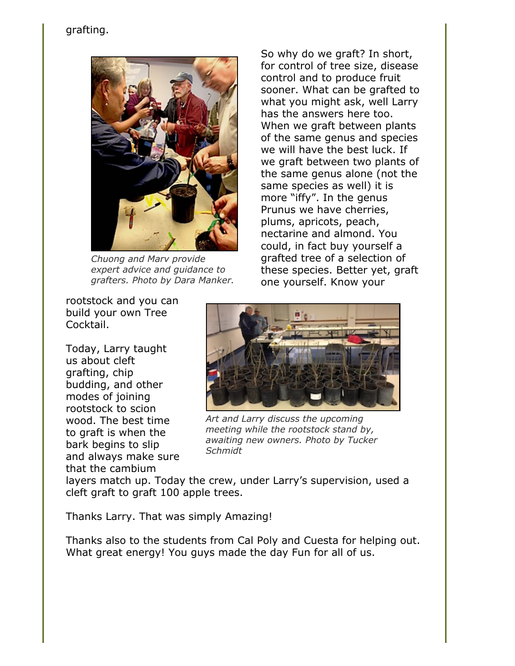# grafting.



*Chuong and Marv provide expert advice and guidance to grafters. Photo by Dara Manker.*

So why do we graft? In short, for control of tree size, disease control and to produce fruit sooner. What can be grafted to what you might ask, well Larry has the answers here too. When we graft between plants of the same genus and species we will have the best luck. If we graft between two plants of the same genus alone (not the same species as well) it is more "iffy". In the genus Prunus we have cherries, plums, apricots, peach, nectarine and almond. You could, in fact buy yourself a grafted tree of a selection of these species. Better yet, graft one yourself. Know your

rootstock and you can build your own Tree Cocktail.

Today, Larry taught us about cleft grafting, chip budding, and other modes of joining rootstock to scion wood. The best time to graft is when the bark begins to slip and always make sure that the cambium



*Art and Larry discuss the upcoming meeting while the rootstock stand by, awaiting new owners. Photo by Tucker Schmidt*

layers match up. Today the crew, under Larry's supervision, used a cleft graft to graft 100 apple trees.

Thanks Larry. That was simply Amazing!

Thanks also to the students from Cal Poly and Cuesta for helping out. What great energy! You guys made the day Fun for all of us.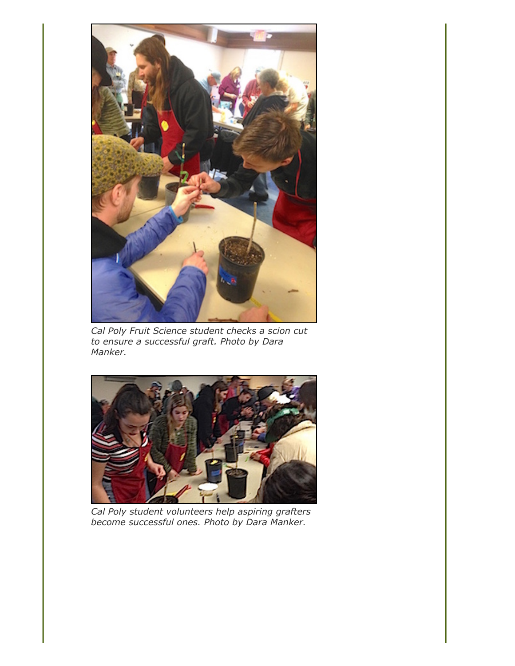

*Cal Poly Fruit Science student checks a scion cut to ensure a successful graft. Photo by Dara Manker.*



*Cal Poly student volunteers help aspiring grafters become successful ones. Photo by Dara Manker.*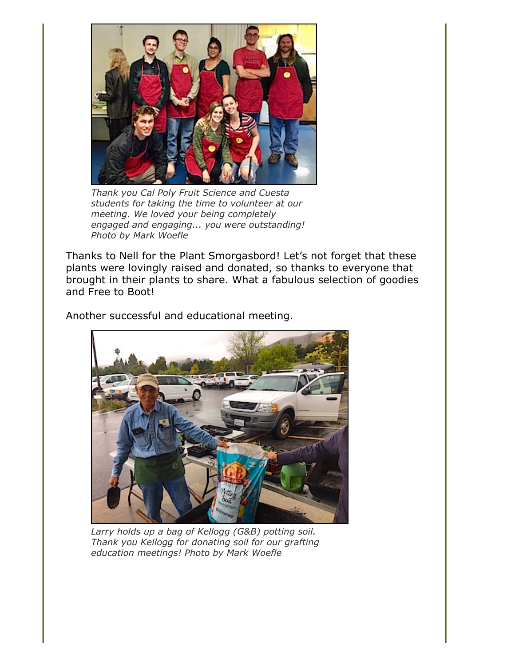

*Thank you Cal Poly Fruit Science and Cuesta students for taking the time to volunteer at our meeting. We loved your being completely engaged and engaging... you were outstanding! Photo by Mark Woefle*

Thanks to Nell for the Plant Smorgasbord! Let's not forget that these plants were lovingly raised and donated, so thanks to everyone that brought in their plants to share. What a fabulous selection of goodies and Free to Boot!

Another successful and educational meeting.



*Larry holds up a bag of Kellogg (G&B) potting soil. Thank you Kellogg for donating soil for our grafting education meetings! Photo by Mark Woefle*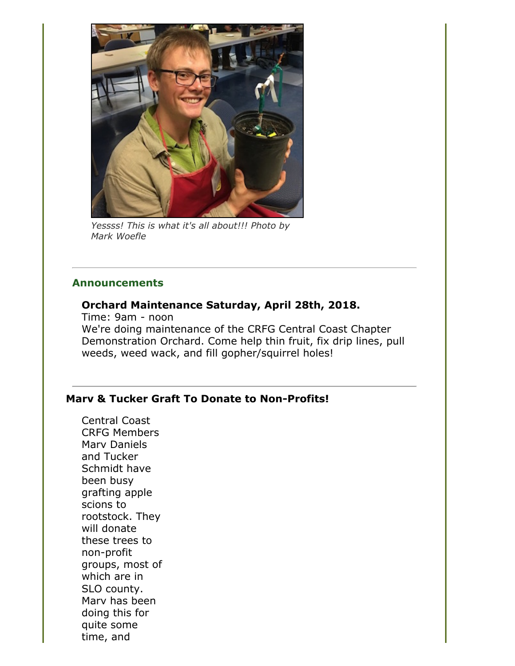

*Yessss! This is what it's all about!!! Photo by Mark Woefle*

## **Announcements**

# **Orchard Maintenance Saturday, April 28th, 2018.**

Time: 9am - noon We're doing maintenance of the CRFG Central Coast Chapter Demonstration Orchard. Come help thin fruit, fix drip lines, pull weeds, weed wack, and fill gopher/squirrel holes!

## **Marv & Tucker Graft To Donate to Non-Profits!**

Central Coast CRFG Members Marv Daniels and Tucker Schmidt have been busy grafting apple scions to rootstock. They will donate these trees to non-profit groups, most of which are in SLO county. Marv has been doing this for quite some time, and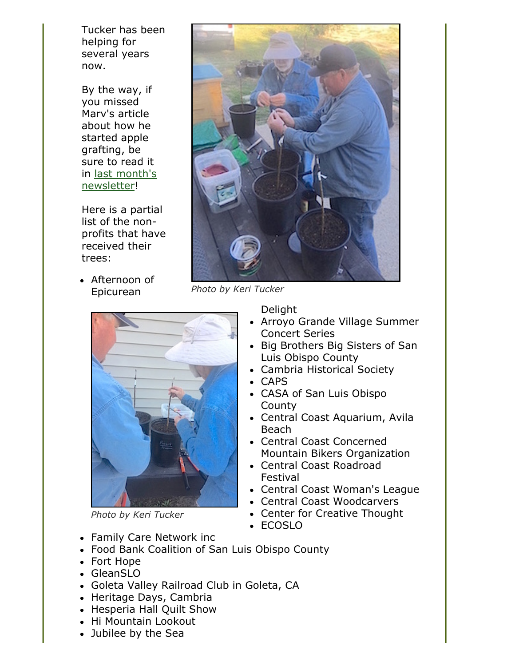Tucker has been helping for several years now.

By the way, if you missed Marv's article about how he started apple grafting, be sure to read it [in last month's](file:///Users/daramanker/Documents/CRFG/Website/Newsletters/2018/Feb/crfgccNewsletter2018Feb.html) newsletter!

Here is a partial list of the nonprofits that have received their trees:

• Afternoon of Epicurean



*Photo by Keri Tucker*



*Photo by Keri Tucker*

- Family Care Network inc
- Food Bank Coalition of San Luis Obispo County
- Fort Hope
- GleanSLO
- Goleta Valley Railroad Club in Goleta, CA
- Heritage Days, Cambria
- Hesperia Hall Quilt Show
- Hi Mountain Lookout
- Jubilee by the Sea

Delight

- Arroyo Grande Village Summer Concert Series
- Big Brothers Big Sisters of San Luis Obispo County
- Cambria Historical Society
- CAPS
- CASA of San Luis Obispo **County**
- Central Coast Aquarium, Avila Beach
- Central Coast Concerned Mountain Bikers Organization
- Central Coast Roadroad Festival
- Central Coast Woman's League
- Central Coast Woodcarvers
- Center for Creative Thought
- ECOSLO